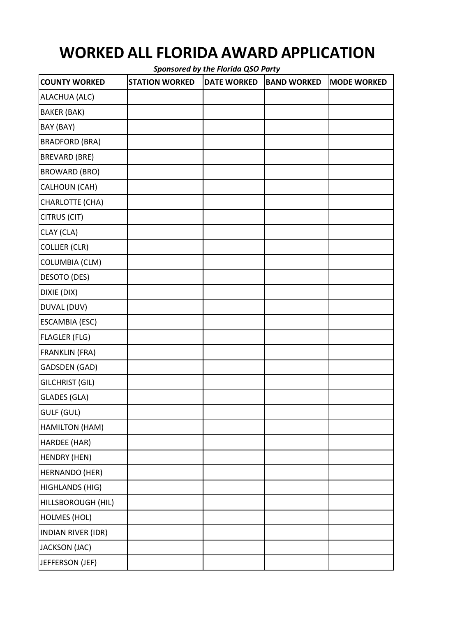## **WORKED ALL FLORIDA AWARD APPLICATION**

*Sponsored by the Florida QSO Party* **COUNTY WORKED STATION WORKED DATE WORKED BAND WORKED MODE WORKED** ALACHUA (ALC) BAKER (BAK) BAY (BAY) BRADFORD (BRA) BREVARD (BRE) BROWARD (BRO) CALHOUN (CAH) CHARLOTTE (CHA) CITRUS (CIT) CLAY (CLA) COLLIER (CLR) COLUMBIA (CLM) DESOTO (DES) DIXIE (DIX) DUVAL (DUV) ESCAMBIA (ESC) FLAGLER (FLG) FRANKLIN (FRA) GADSDEN (GAD) GILCHRIST (GIL) GLADES (GLA) GULF (GUL) HAMILTON (HAM) HARDEE (HAR) HENDRY (HEN) HERNANDO (HER) HIGHLANDS (HIG) HILLSBOROUGH (HIL) HOLMES (HOL) INDIAN RIVER (IDR) JACKSON (JAC) JEFFERSON (JEF)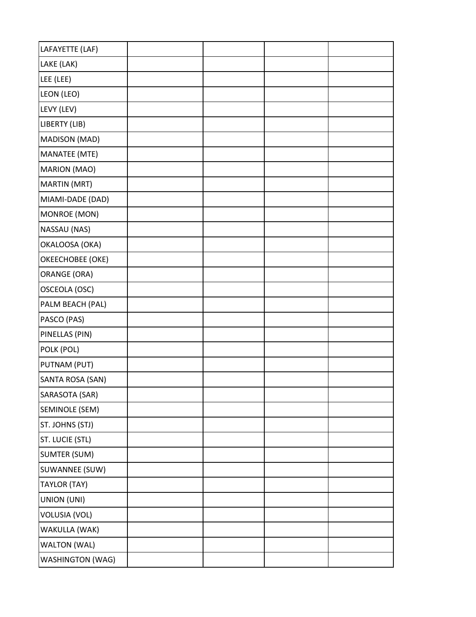| LAFAYETTE (LAF)         |  |  |
|-------------------------|--|--|
| LAKE (LAK)              |  |  |
| LEE (LEE)               |  |  |
| LEON (LEO)              |  |  |
| LEVY (LEV)              |  |  |
| LIBERTY (LIB)           |  |  |
| MADISON (MAD)           |  |  |
| <b>MANATEE (MTE)</b>    |  |  |
| MARION (MAO)            |  |  |
| MARTIN (MRT)            |  |  |
| MIAMI-DADE (DAD)        |  |  |
| MONROE (MON)            |  |  |
| NASSAU (NAS)            |  |  |
| OKALOOSA (OKA)          |  |  |
| OKEECHOBEE (OKE)        |  |  |
| <b>ORANGE (ORA)</b>     |  |  |
| OSCEOLA (OSC)           |  |  |
| PALM BEACH (PAL)        |  |  |
| PASCO (PAS)             |  |  |
| PINELLAS (PIN)          |  |  |
| POLK (POL)              |  |  |
| PUTNAM (PUT)            |  |  |
| SANTA ROSA (SAN)        |  |  |
| SARASOTA (SAR)          |  |  |
| SEMINOLE (SEM)          |  |  |
| ST. JOHNS (STJ)         |  |  |
| ST. LUCIE (STL)         |  |  |
| <b>SUMTER (SUM)</b>     |  |  |
| SUWANNEE (SUW)          |  |  |
| TAYLOR (TAY)            |  |  |
| UNION (UNI)             |  |  |
| <b>VOLUSIA (VOL)</b>    |  |  |
| WAKULLA (WAK)           |  |  |
| WALTON (WAL)            |  |  |
| <b>WASHINGTON (WAG)</b> |  |  |